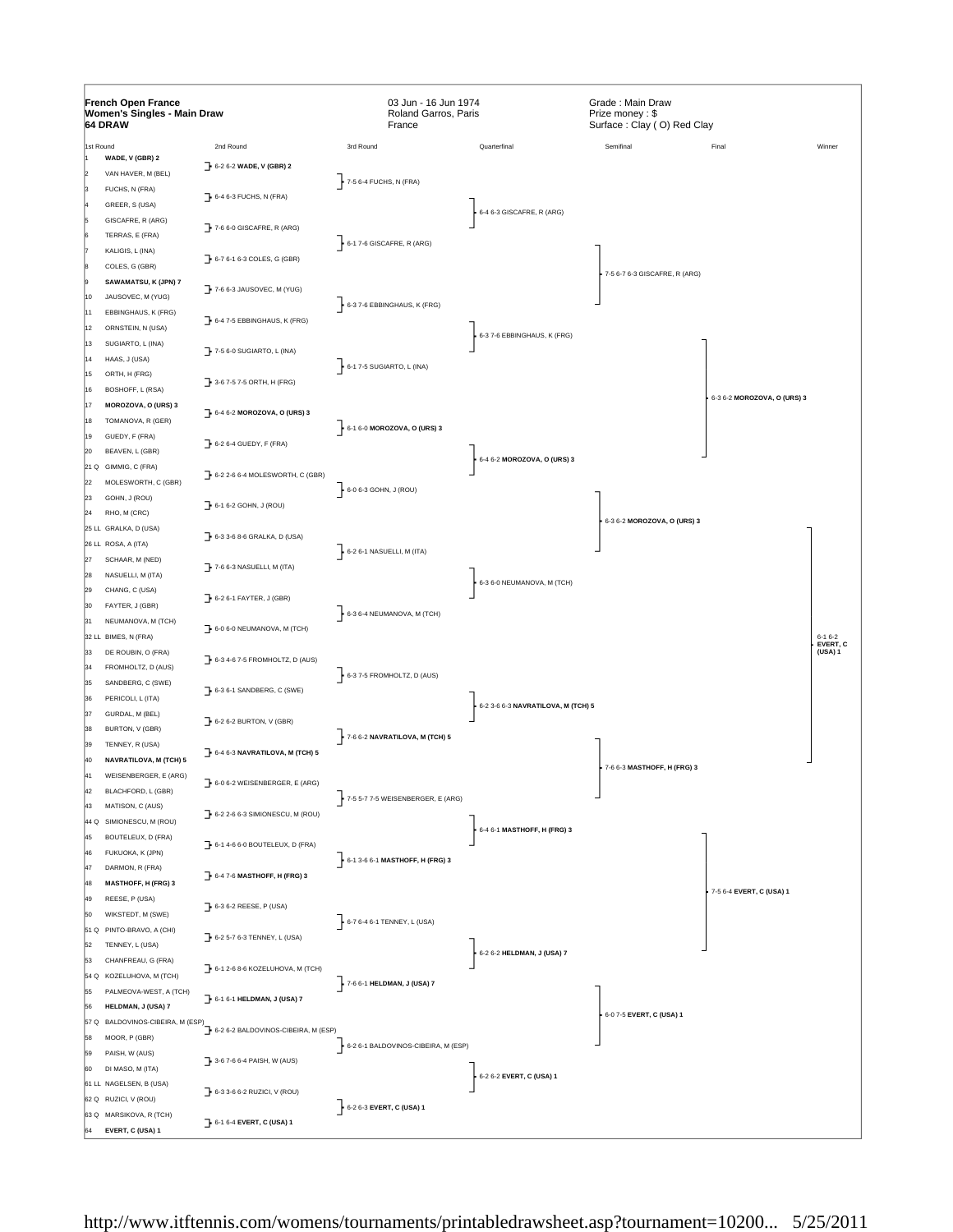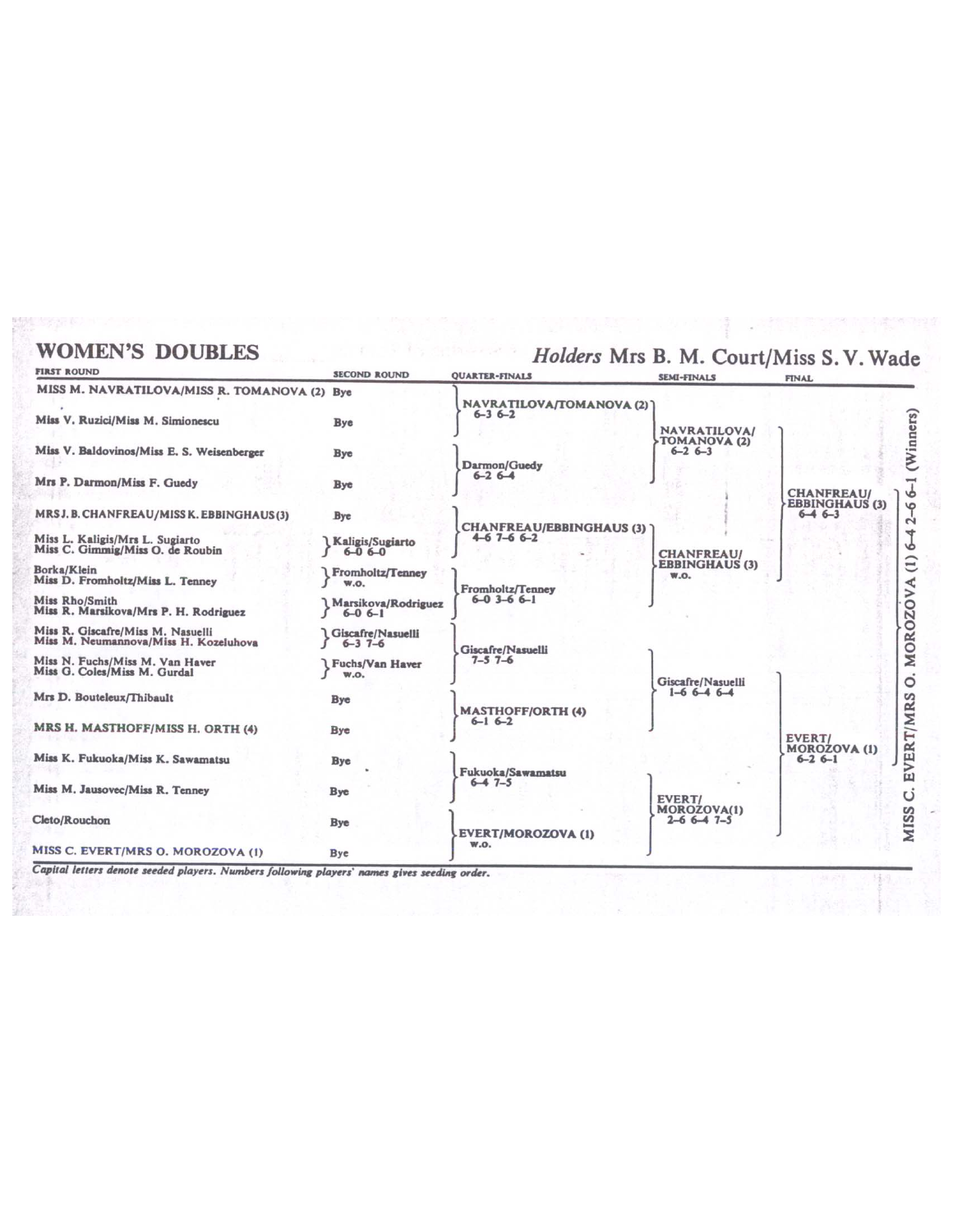## **WOMEN'S DOUBLES**

## Holders Mrs B. M. Court/Miss S. V. Wade

| <b>FIRST ROUND</b>                                                         | <b>SECOND ROUND</b>                      | <b>QUARTER-FINALS</b>                          | <b>SEMI-FINALS</b>                          | <b>FINAL</b>                                                                                                                                                     |
|----------------------------------------------------------------------------|------------------------------------------|------------------------------------------------|---------------------------------------------|------------------------------------------------------------------------------------------------------------------------------------------------------------------|
| MISS M. NAVRATILOVA/MISS R. TOMANOVA (2) Bye                               |                                          | NAVRATILOVA/TOMANOVA (2)                       |                                             |                                                                                                                                                                  |
| Miss V. Ruzici/Miss M. Simionescu                                          | <b>Bye</b>                               | $6 - 36 - 2$                                   | <b>NAVRATILOVA/</b>                         |                                                                                                                                                                  |
| Miss V. Baldovinos/Miss E. S. Weisenberger                                 | <b>Bye</b>                               | Darmon/Guedy                                   | TOMANOVA (2)<br>$6 - 26 - 3$                | (Winners)                                                                                                                                                        |
| Mrs P. Darmon/Miss F. Guedy                                                | <b>Bye</b>                               | $6 - 26 - 4$                                   |                                             | <b>Territory</b><br><b>CHANFREAU/</b><br><b>v</b><br><b>EBBINGHAUS (3)</b><br>$\circ$<br>$6 - 46 - 3$<br>$\mathbf{\Omega}$<br>4<br>νò<br>$\widehat{c}$<br>⋖<br>⋗ |
| MRS J. B. CHANFREAU/MISS K. EBBINGHAUS(3)                                  | Bye                                      | <b>CHANFREAU/EBBINGHAUS (3)</b><br>$4-67-66-2$ |                                             |                                                                                                                                                                  |
| Miss L. Kaligis/Mrs L. Sugiarto<br>Miss C. Gimmig/Miss O. de Roubin        | <b>Kaligis/Sugiarto</b><br>$16 - 06 - 0$ |                                                | <b>CHANFREAU/</b>                           |                                                                                                                                                                  |
| Borka/Klein<br>Miss D. Fromholtz/Miss L. Tenney                            | Fromholtz/Tenney<br><b>W.O.</b>          | Fromholtz/Tenney                               | <b>EBBINGHAUS (3)</b><br>W.O.               |                                                                                                                                                                  |
| Miss Rho/Smith<br>Miss R. Marsikova/Mrs P. H. Rodriguez                    | Marsikova/Rodriguez<br>$6 - 06 - 1$      | $6 - 0$ 3-6 $6 - 1$                            |                                             |                                                                                                                                                                  |
| Miss R. Giscafre/Miss M. Nasuelli<br>Miss M. Neumannova/Miss H. Kozeluhova | <b>Giscafre/Nasuelli</b><br>$6 - 37 - 6$ | Giscafre/Nasuelli                              |                                             | MOROZO                                                                                                                                                           |
| Miss N. Fuchs/Miss M. Van Haver<br>Miss G. Coles/Miss M. Gurdal            | <b>I</b> Fuchs/Van Haver<br><b>W.O.</b>  | $7 - 57 - 6$                                   | Giscafre/Nasuelli                           | $\circ$                                                                                                                                                          |
| Mrs D. Bouteleux/Thibault                                                  | <b>Bye</b>                               | <b>MASTHOFF/ORTH (4)</b>                       | $1-6$ 6 -4 6 -4                             |                                                                                                                                                                  |
| MRS H. MASTHOFF/MISS H. ORTH (4)                                           | Bye                                      | $6 - 16 - 2$                                   |                                             | EVERT/MRS<br><b>EVERT/</b>                                                                                                                                       |
| Miss K. Fukuoka/Miss K. Sawamatsu                                          | Bye                                      | Fukuoka/Sawamatsu                              |                                             | <b>MOROZOVA (1)</b><br>$6 - 26 - 1$<br>Ü                                                                                                                         |
| Miss M. Jausovec/Miss R. Tenney                                            | <b>Bye</b>                               | $6 - 47 - 5$                                   | EVERT/                                      |                                                                                                                                                                  |
| Cleto/Rouchon                                                              | <b>Bye</b>                               | <b>EVERT/MOROZOVA (1)</b><br><b>W.O.</b>       | <b>MOROZOVA(1)</b><br>$2 - 6$ 6 $-4$ 7 $-5$ | <b>MISS</b>                                                                                                                                                      |
| MISS C. EVERT/MRS O. MOROZOVA (1)                                          | <b>Bye</b>                               |                                                |                                             |                                                                                                                                                                  |

Capital letters denote seeded players. Numbers following players' names gives seeding order.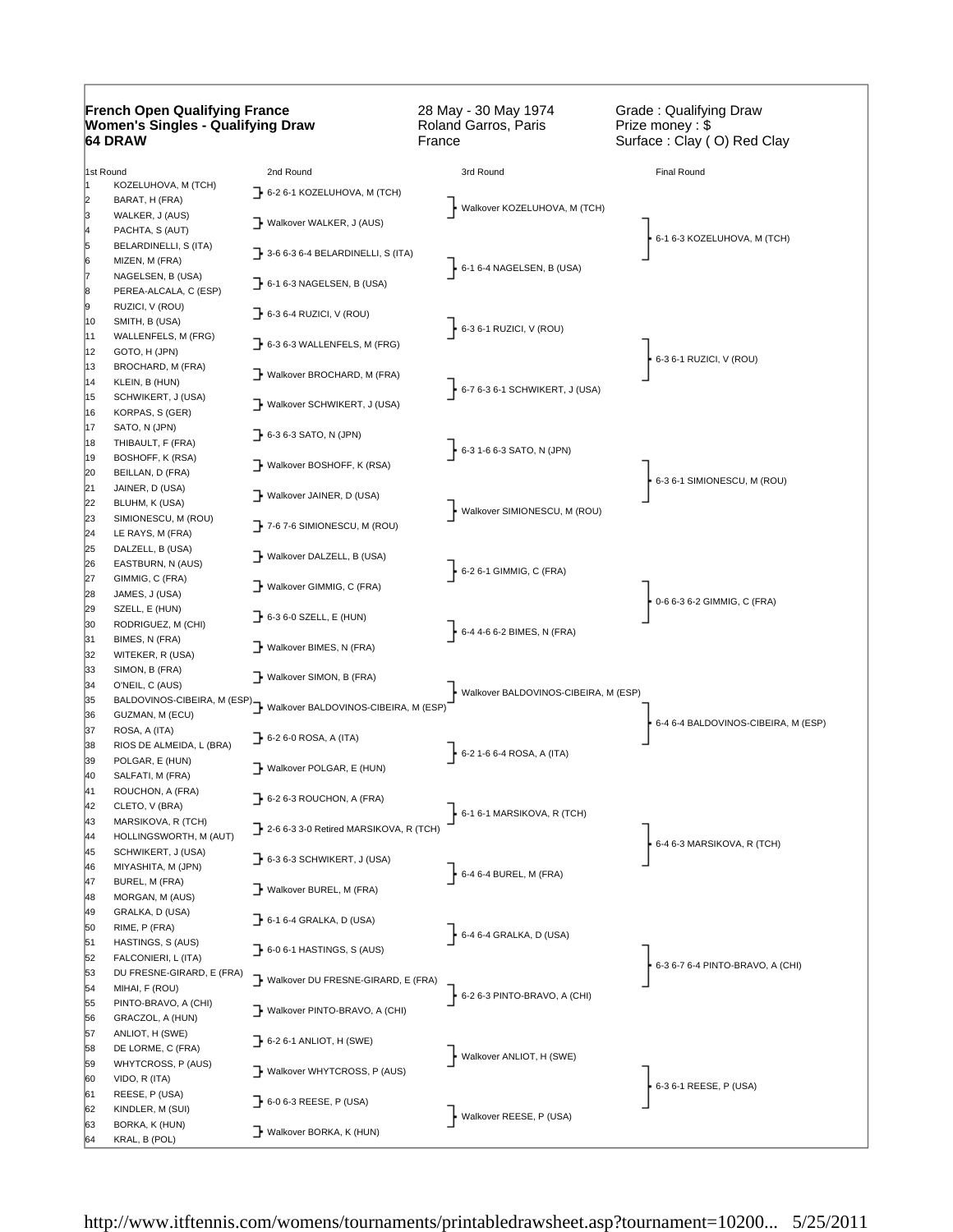| <b>French Open Qualifying France</b><br><b>Women's Singles - Qualifying Draw</b><br><b>64 DRAW</b> |                                          | 28 May - 30 May 1974<br>Roland Garros, Paris<br>France             | Grade: Qualifying Draw<br>Prize money: \$<br>Surface: Clay (O) Red Clay |                                     |
|----------------------------------------------------------------------------------------------------|------------------------------------------|--------------------------------------------------------------------|-------------------------------------------------------------------------|-------------------------------------|
| 1st Round                                                                                          |                                          | 2nd Round                                                          | 3rd Round                                                               | <b>Final Round</b>                  |
| l1                                                                                                 | KOZELUHOVA, M (TCH)                      | $\rightarrow$ 6-2 6-1 KOZELUHOVA, M (TCH)                          |                                                                         |                                     |
| 2<br>3                                                                                             | BARAT, H (FRA)                           |                                                                    | Walkover KOZELUHOVA, M (TCH)                                            |                                     |
| 4                                                                                                  | WALKER, J (AUS)<br>PACHTA, S (AUT)       | Walkover WALKER, J (AUS)                                           |                                                                         |                                     |
| 5                                                                                                  | BELARDINELLI, S (ITA)                    |                                                                    |                                                                         | 6-1 6-3 KOZELUHOVA, M (TCH)         |
| 6                                                                                                  | MIZEN, M (FRA)                           | $\rightarrow$ 3-6 6-3 6-4 BELARDINELLI, S (ITA)                    | $6-16-4$ NAGELSEN, B (USA)                                              |                                     |
| 17                                                                                                 | NAGELSEN, B (USA)                        | $\rightarrow$ 6-1 6-3 NAGELSEN, B (USA)                            |                                                                         |                                     |
| 8                                                                                                  | PEREA-ALCALA, C (ESP)                    |                                                                    |                                                                         |                                     |
| 9<br>10                                                                                            | RUZICI, V (ROU)<br>SMITH, B (USA)        | $\rightarrow$ 6-3 6-4 RUZICI, V (ROU)                              |                                                                         |                                     |
| 11                                                                                                 | WALLENFELS, M (FRG)                      |                                                                    | $6-36-1$ RUZICI, V (ROU)                                                |                                     |
| 12                                                                                                 | GOTO, H (JPN)                            | $\rightarrow$ 6-3 6-3 WALLENFELS, M (FRG)                          |                                                                         | 6-3 6-1 RUZICI, V (ROU)             |
| 13                                                                                                 | BROCHARD, M (FRA)                        | → Walkover BROCHARD, M (FRA)                                       |                                                                         |                                     |
| 14                                                                                                 | KLEIN, B (HUN)                           |                                                                    | $\cdot$ 6-7 6-3 6-1 SCHWIKERT, J (USA)                                  |                                     |
| 15<br>16                                                                                           | SCHWIKERT, J (USA)<br>KORPAS, S (GER)    | Walkover SCHWIKERT, J (USA)                                        |                                                                         |                                     |
| 17                                                                                                 | SATO, N (JPN)                            |                                                                    |                                                                         |                                     |
| 18                                                                                                 | THIBAULT, F (FRA)                        | $\rightarrow$ 6-3 6-3 SATO, N (JPN)                                | 6-3 1-6 6-3 SATO, N (JPN)                                               |                                     |
| 19                                                                                                 | BOSHOFF, K (RSA)                         | → Walkover BOSHOFF, K (RSA)                                        |                                                                         |                                     |
| 20<br>21                                                                                           | BEILLAN, D (FRA)                         |                                                                    |                                                                         | 6-3 6-1 SIMIONESCU, M (ROU)         |
| 22                                                                                                 | JAINER, D (USA)<br>BLUHM, K (USA)        | Walkover JAINER, D (USA)                                           |                                                                         |                                     |
| 23                                                                                                 | SIMIONESCU, M (ROU)                      |                                                                    | Walkover SIMIONESCU, M (ROU)                                            |                                     |
| 24                                                                                                 | LE RAYS, M (FRA)                         | $\rightarrow$ 7-6 7-6 SIMIONESCU, M (ROU)                          |                                                                         |                                     |
| 25                                                                                                 | DALZELL, B (USA)                         | Walkover DALZELL, B (USA)                                          |                                                                         |                                     |
| 26                                                                                                 | EASTBURN, N (AUS)                        |                                                                    | $6-26-1$ GIMMIG, C (FRA)                                                |                                     |
| 27<br>28                                                                                           | GIMMIG, C (FRA)<br>JAMES, J (USA)        | Walkover GIMMIG, C (FRA)                                           |                                                                         |                                     |
| 29                                                                                                 | SZELL, E (HUN)                           |                                                                    |                                                                         | 0-6 6-3 6-2 GIMMIG, C (FRA)         |
| 30                                                                                                 | RODRIGUEZ, M (CHI)                       | $\rightarrow$ 6-3 6-0 SZELL, E (HUN)                               | 6-4 4-6 6-2 BIMES, N (FRA)                                              |                                     |
| 31                                                                                                 | BIMES, N (FRA)                           | Walkover BIMES, N (FRA)                                            |                                                                         |                                     |
| 32                                                                                                 | WITEKER, R (USA)                         |                                                                    |                                                                         |                                     |
| 33<br>34                                                                                           | SIMON, B (FRA)<br>O'NEIL, C (AUS)        | Walkover SIMON, B (FRA)                                            |                                                                         |                                     |
| 35                                                                                                 |                                          | BALDOVINOS-CIBEIRA, M (ESP)   Walkover BALDOVINOS-CIBEIRA, M (ESP) | Walkover BALDOVINOS-CIBEIRA, M (ESP)                                    |                                     |
| 36                                                                                                 | GUZMAN, M (ECU)                          |                                                                    |                                                                         | 6-4 6-4 BALDOVINOS-CIBEIRA, M (ESP) |
| 37                                                                                                 | ROSA, A (ITA)                            | $\rightarrow$ 6-2 6-0 ROSA, A (ITA)                                |                                                                         |                                     |
| 38                                                                                                 | RIOS DE ALMEIDA, L (BRA)                 |                                                                    | $-6 - 21 - 66 - 4 ROSA, A (ITA)$                                        |                                     |
| 39<br>40                                                                                           | POLGAR, E (HUN)<br>SALFATI, M (FRA)      | Walkover POLGAR, E (HUN)                                           |                                                                         |                                     |
| 41                                                                                                 | ROUCHON, A (FRA)                         |                                                                    |                                                                         |                                     |
| 42                                                                                                 | CLETO, V (BRA)                           | $\rightarrow$ 6-2 6-3 ROUCHON, A (FRA)                             | $\frac{1}{2}$ 6-1 6-1 MARSIKOVA, R (TCH)                                |                                     |
| 43                                                                                                 | MARSIKOVA, R (TCH)                       | 7 2-6 6-3 3-0 Retired MARSIKOVA, R (TCH)                           |                                                                         |                                     |
| 44                                                                                                 | HOLLINGSWORTH, M (AUT)                   |                                                                    |                                                                         | 6-4 6-3 MARSIKOVA, R (TCH)          |
| 45<br>46                                                                                           | SCHWIKERT, J (USA)<br>MIYASHITA, M (JPN) | $\rightarrow$ 6-3 6-3 SCHWIKERT, J (USA)                           |                                                                         |                                     |
| 47                                                                                                 | BUREL, M (FRA)                           | Walkover BUREL, M (FRA)                                            | $\Big\}$ 6-4 6-4 BUREL, M (FRA)                                         |                                     |
| 48                                                                                                 | MORGAN, M (AUS)                          |                                                                    |                                                                         |                                     |
| 49                                                                                                 | GRALKA, D (USA)                          | $\rightarrow$ 6-1 6-4 GRALKA, D (USA)                              |                                                                         |                                     |
| 50<br>51                                                                                           | RIME, P (FRA)<br>HASTINGS, S (AUS)       |                                                                    | $6-46-4$ GRALKA, D (USA)                                                |                                     |
| 52                                                                                                 | FALCONIERI, L (ITA)                      | $\rightarrow$ 6-0 6-1 HASTINGS, S (AUS)                            |                                                                         |                                     |
| 53                                                                                                 | DU FRESNE-GIRARD, E (FRA)                | Walkover DU FRESNE-GIRARD, E (FRA)                                 |                                                                         | 6-3 6-7 6-4 PINTO-BRAVO, A (CHI)    |
| 54                                                                                                 | MIHAI, F (ROU)                           |                                                                    | $6-26-3$ PINTO-BRAVO, A (CHI)                                           |                                     |
| 55                                                                                                 | PINTO-BRAVO, A (CHI)                     | Walkover PINTO-BRAVO, A (CHI)                                      |                                                                         |                                     |
| 56<br>57                                                                                           | GRACZOL, A (HUN)<br>ANLIOT, H (SWE)      |                                                                    |                                                                         |                                     |
| 58                                                                                                 | DE LORME, C (FRA)                        | $\rightarrow$ 6-2 6-1 ANLIOT, H (SWE)                              |                                                                         |                                     |
| 59                                                                                                 | WHYTCROSS, P (AUS)                       | Walkover WHYTCROSS, P (AUS)                                        | Walkover ANLIOT, H (SWE)                                                |                                     |
| 60                                                                                                 | VIDO, R (ITA)                            |                                                                    |                                                                         | 6-3 6-1 REESE, P (USA)              |
| 61                                                                                                 | REESE, P (USA)                           | $\rightarrow$ 6-0 6-3 REESE, P (USA)                               |                                                                         |                                     |
| 62<br>63                                                                                           | KINDLER, M (SUI)<br>BORKA, K (HUN)       |                                                                    | Walkover REESE, P (USA)                                                 |                                     |
| 64                                                                                                 | KRAL, B (POL)                            | Walkover BORKA, K (HUN)                                            |                                                                         |                                     |